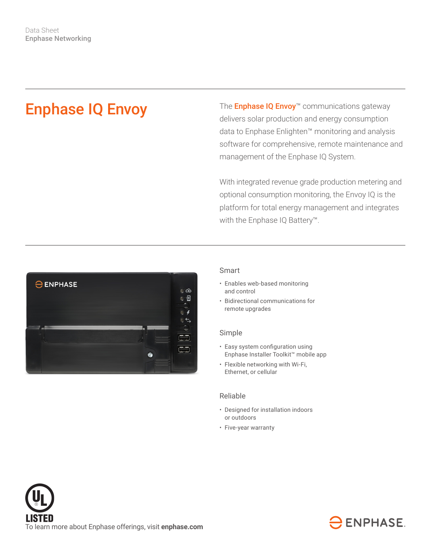# Enphase IQ Envoy

The **Enphase IQ Envoy™** communications gateway delivers solar production and energy consumption data to Enphase Enlighten™ monitoring and analysis software for comprehensive, remote maintenance and management of the Enphase IQ System.

With integrated revenue grade production metering and optional consumption monitoring, the Envoy IQ is the platform for total energy management and integrates with the Enphase IQ Battery™.



## Smart

- Enables web-based monitoring and control
- Bidirectional communications for remote upgrades

#### Simple

- Easy system configuration using Enphase Installer Toolkit™ mobile app
- Flexible networking with Wi-Fi, Ethernet, or cellular

### Reliable

- Designed for installation indoors or outdoors
- Five-year warranty